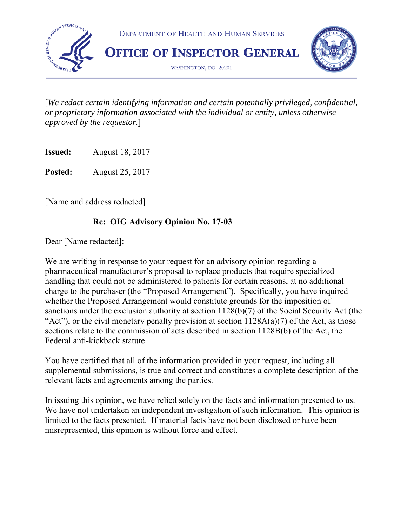

[*We redact certain identifying information and certain potentially privileged, confidential, or proprietary information associated with the individual or entity, unless otherwise approved by the requestor.*]

**Issued:** August 18, 2017

**Posted:** August 25, 2017

[Name and address redacted]

## **Re: OIG Advisory Opinion No. 17-03**

Dear [Name redacted]:

We are writing in response to your request for an advisory opinion regarding a pharmaceutical manufacturer's proposal to replace products that require specialized handling that could not be administered to patients for certain reasons, at no additional charge to the purchaser (the "Proposed Arrangement"). Specifically, you have inquired whether the Proposed Arrangement would constitute grounds for the imposition of sanctions under the exclusion authority at section 1128(b)(7) of the Social Security Act (the "Act"), or the civil monetary penalty provision at section  $1128A(a)(7)$  of the Act, as those sections relate to the commission of acts described in section 1128B(b) of the Act, the Federal anti-kickback statute.

You have certified that all of the information provided in your request, including all supplemental submissions, is true and correct and constitutes a complete description of the relevant facts and agreements among the parties.

In issuing this opinion, we have relied solely on the facts and information presented to us. We have not undertaken an independent investigation of such information. This opinion is limited to the facts presented. If material facts have not been disclosed or have been misrepresented, this opinion is without force and effect.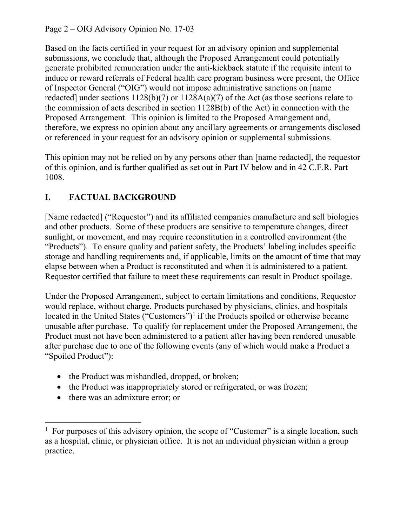Page 2 – OIG Advisory Opinion No. 17-03

or referenced in your request for an advisory opinion or supplemental submissions. Based on the facts certified in your request for an advisory opinion and supplemental submissions, we conclude that, although the Proposed Arrangement could potentially generate prohibited remuneration under the anti-kickback statute if the requisite intent to induce or reward referrals of Federal health care program business were present, the Office of Inspector General ("OIG") would not impose administrative sanctions on [name redacted] under sections  $1128(b)(7)$  or  $1128A(a)(7)$  of the Act (as those sections relate to the commission of acts described in section 1128B(b) of the Act) in connection with the Proposed Arrangement. This opinion is limited to the Proposed Arrangement and, therefore, we express no opinion about any ancillary agreements or arrangements disclosed

This opinion may not be relied on by any persons other than [name redacted], the requestor of this opinion, and is further qualified as set out in Part IV below and in 42 C.F.R. Part 1008.

## **I. FACTUAL BACKGROUND**

[Name redacted] ("Requestor") and its affiliated companies manufacture and sell biologics and other products. Some of these products are sensitive to temperature changes, direct sunlight, or movement, and may require reconstitution in a controlled environment (the "Products"). To ensure quality and patient safety, the Products' labeling includes specific storage and handling requirements and, if applicable, limits on the amount of time that may elapse between when a Product is reconstituted and when it is administered to a patient. Requestor certified that failure to meet these requirements can result in Product spoilage.

Under the Proposed Arrangement, subject to certain limitations and conditions, Requestor would replace, without charge, Products purchased by physicians, clinics, and hospitals located in the United States ("Customers")<sup>1</sup> if the Products spoiled or otherwise became unusable after purchase. To qualify for replacement under the Proposed Arrangement, the Product must not have been administered to a patient after having been rendered unusable after purchase due to one of the following events (any of which would make a Product a "Spoiled Product"):

- the Product was mishandled, dropped, or broken;
- the Product was inappropriately stored or refrigerated, or was frozen;
- there was an admixture error; or

 $\overline{a}$ 

<sup>&</sup>lt;sup>1</sup> For purposes of this advisory opinion, the scope of "Customer" is a single location, such as a hospital, clinic, or physician office. It is not an individual physician within a group practice.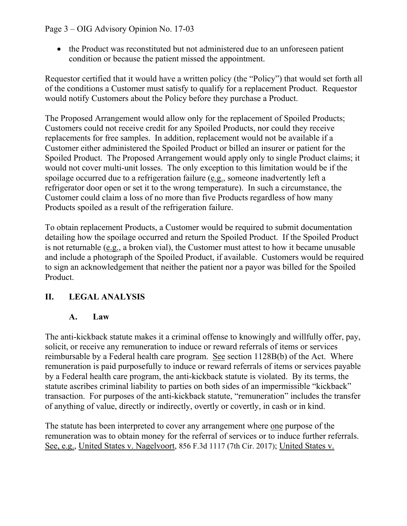#### Page 3 – OIG Advisory Opinion No. 17-03

• the Product was reconstituted but not administered due to an unforeseen patient condition or because the patient missed the appointment.

Requestor certified that it would have a written policy (the "Policy") that would set forth all of the conditions a Customer must satisfy to qualify for a replacement Product. Requestor would notify Customers about the Policy before they purchase a Product.

The Proposed Arrangement would allow only for the replacement of Spoiled Products; Customers could not receive credit for any Spoiled Products, nor could they receive replacements for free samples. In addition, replacement would not be available if a Customer either administered the Spoiled Product or billed an insurer or patient for the Spoiled Product. The Proposed Arrangement would apply only to single Product claims; it would not cover multi-unit losses. The only exception to this limitation would be if the spoilage occurred due to a refrigeration failure (e.g., someone inadvertently left a refrigerator door open or set it to the wrong temperature). In such a circumstance, the Customer could claim a loss of no more than five Products regardless of how many Products spoiled as a result of the refrigeration failure.

To obtain replacement Products, a Customer would be required to submit documentation detailing how the spoilage occurred and return the Spoiled Product. If the Spoiled Product is not returnable (e.g., a broken vial), the Customer must attest to how it became unusable and include a photograph of the Spoiled Product, if available. Customers would be required to sign an acknowledgement that neither the patient nor a payor was billed for the Spoiled Product.

## **II. LEGAL ANALYSIS**

#### **A. Law**

The anti-kickback statute makes it a criminal offense to knowingly and willfully offer, pay, solicit, or receive any remuneration to induce or reward referrals of items or services reimbursable by a Federal health care program. See section 1128B(b) of the Act. Where remuneration is paid purposefully to induce or reward referrals of items or services payable by a Federal health care program, the anti-kickback statute is violated. By its terms, the statute ascribes criminal liability to parties on both sides of an impermissible "kickback" transaction. For purposes of the anti-kickback statute, "remuneration" includes the transfer of anything of value, directly or indirectly, overtly or covertly, in cash or in kind.

The statute has been interpreted to cover any arrangement where one purpose of the remuneration was to obtain money for the referral of services or to induce further referrals. See, e.g., United States v. Nagelvoort, 856 F.3d 1117 (7th Cir. 2017); United States v.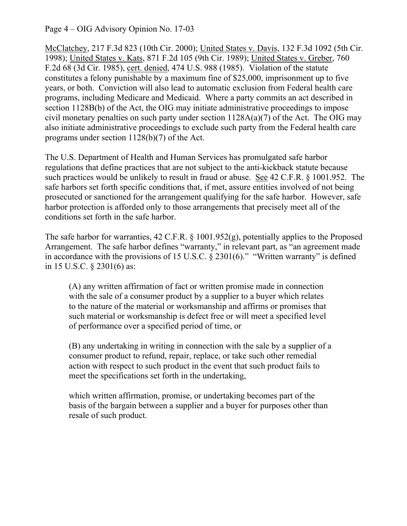Page 4 – OIG Advisory Opinion No. 17-03

McClatchey, 217 F.3d 823 (10th Cir. 2000); United States v. Davis, 132 F.3d 1092 (5th Cir. 1998); United States v. Kats, 871 F.2d 105 (9th Cir. 1989); United States v. Greber, 760 F.2d 68 (3d Cir. 1985), cert. denied, 474 U.S. 988 (1985). Violation of the statute constitutes a felony punishable by a maximum fine of \$25,000, imprisonment up to five years, or both. Conviction will also lead to automatic exclusion from Federal health care programs, including Medicare and Medicaid. Where a party commits an act described in section 1128B(b) of the Act, the OIG may initiate administrative proceedings to impose civil monetary penalties on such party under section  $1128A(a)(7)$  of the Act. The OIG may also initiate administrative proceedings to exclude such party from the Federal health care programs under section 1128(b)(7) of the Act.

The U.S. Department of Health and Human Services has promulgated safe harbor regulations that define practices that are not subject to the anti-kickback statute because such practices would be unlikely to result in fraud or abuse. See 42 C.F.R. § 1001.952. The safe harbors set forth specific conditions that, if met, assure entities involved of not being prosecuted or sanctioned for the arrangement qualifying for the safe harbor. However, safe harbor protection is afforded only to those arrangements that precisely meet all of the conditions set forth in the safe harbor.

The safe harbor for warranties, 42 C.F.R. § 1001.952(g), potentially applies to the Proposed Arrangement. The safe harbor defines "warranty," in relevant part, as "an agreement made in accordance with the provisions of 15 U.S.C.  $\S 2301(6)$ ." "Written warranty" is defined in 15 U.S.C. § 2301(6) as:

(A) any written affirmation of fact or written promise made in connection with the sale of a consumer product by a supplier to a buyer which relates to the nature of the material or worksmanship and affirms or promises that such material or worksmanship is defect free or will meet a specified level of performance over a specified period of time, or

(B) any undertaking in writing in connection with the sale by a supplier of a consumer product to refund, repair, replace, or take such other remedial action with respect to such product in the event that such product fails to meet the specifications set forth in the undertaking,

which written affirmation, promise, or undertaking becomes part of the basis of the bargain between a supplier and a buyer for purposes other than resale of such product.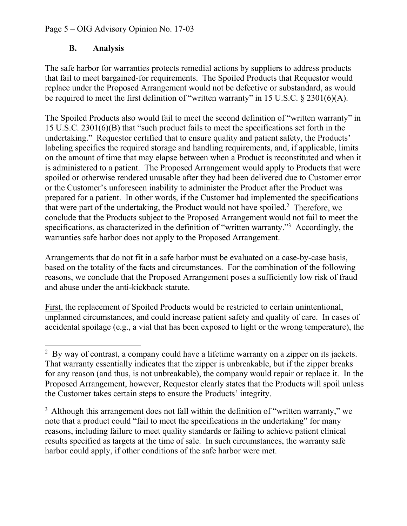#### Page 5 – OIG Advisory Opinion No. 17-03

#### **B. Analysis**

 $\overline{a}$ 

The safe harbor for warranties protects remedial actions by suppliers to address products that fail to meet bargained-for requirements. The Spoiled Products that Requestor would replace under the Proposed Arrangement would not be defective or substandard, as would be required to meet the first definition of "written warranty" in 15 U.S.C.  $\S 2301(6)(A)$ .

The Spoiled Products also would fail to meet the second definition of "written warranty" in 15 U.S.C. 2301(6)(B) that "such product fails to meet the specifications set forth in the undertaking." Requestor certified that to ensure quality and patient safety, the Products' labeling specifies the required storage and handling requirements, and, if applicable, limits on the amount of time that may elapse between when a Product is reconstituted and when it is administered to a patient. The Proposed Arrangement would apply to Products that were spoiled or otherwise rendered unusable after they had been delivered due to Customer error or the Customer's unforeseen inability to administer the Product after the Product was prepared for a patient. In other words, if the Customer had implemented the specifications that were part of the undertaking, the Product would not have spoiled.<sup>2</sup> Therefore, we conclude that the Products subject to the Proposed Arrangement would not fail to meet the specifications, as characterized in the definition of "written warranty."3 Accordingly, the warranties safe harbor does not apply to the Proposed Arrangement.

Arrangements that do not fit in a safe harbor must be evaluated on a case-by-case basis, based on the totality of the facts and circumstances. For the combination of the following reasons, we conclude that the Proposed Arrangement poses a sufficiently low risk of fraud and abuse under the anti-kickback statute.

First, the replacement of Spoiled Products would be restricted to certain unintentional, unplanned circumstances, and could increase patient safety and quality of care. In cases of accidental spoilage (e.g., a vial that has been exposed to light or the wrong temperature), the

 $3$  Although this arrangement does not fall within the definition of "written warranty," we note that a product could "fail to meet the specifications in the undertaking" for many reasons, including failure to meet quality standards or failing to achieve patient clinical results specified as targets at the time of sale. In such circumstances, the warranty safe harbor could apply, if other conditions of the safe harbor were met.

 $2$  By way of contrast, a company could have a lifetime warranty on a zipper on its jackets. That warranty essentially indicates that the zipper is unbreakable, but if the zipper breaks for any reason (and thus, is not unbreakable), the company would repair or replace it. In the Proposed Arrangement, however, Requestor clearly states that the Products will spoil unless the Customer takes certain steps to ensure the Products' integrity.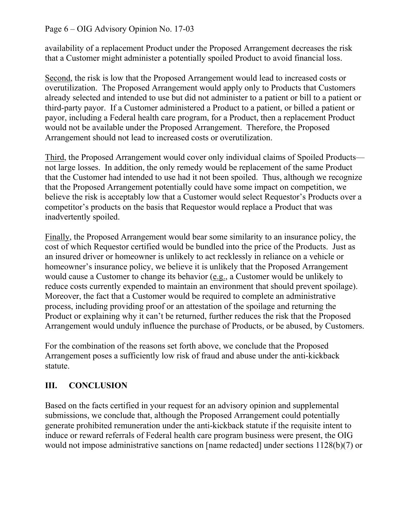#### Page 6 – OIG Advisory Opinion No. 17-03

availability of a replacement Product under the Proposed Arrangement decreases the risk that a Customer might administer a potentially spoiled Product to avoid financial loss.

Second, the risk is low that the Proposed Arrangement would lead to increased costs or overutilization. The Proposed Arrangement would apply only to Products that Customers already selected and intended to use but did not administer to a patient or bill to a patient or third-party payor. If a Customer administered a Product to a patient, or billed a patient or payor, including a Federal health care program, for a Product, then a replacement Product would not be available under the Proposed Arrangement. Therefore, the Proposed Arrangement should not lead to increased costs or overutilization.

Third, the Proposed Arrangement would cover only individual claims of Spoiled Products not large losses. In addition, the only remedy would be replacement of the same Product that the Customer had intended to use had it not been spoiled. Thus, although we recognize that the Proposed Arrangement potentially could have some impact on competition, we believe the risk is acceptably low that a Customer would select Requestor's Products over a competitor's products on the basis that Requestor would replace a Product that was inadvertently spoiled.

Finally, the Proposed Arrangement would bear some similarity to an insurance policy, the cost of which Requestor certified would be bundled into the price of the Products. Just as an insured driver or homeowner is unlikely to act recklessly in reliance on a vehicle or homeowner's insurance policy, we believe it is unlikely that the Proposed Arrangement would cause a Customer to change its behavior (e.g., a Customer would be unlikely to reduce costs currently expended to maintain an environment that should prevent spoilage). Moreover, the fact that a Customer would be required to complete an administrative process, including providing proof or an attestation of the spoilage and returning the Product or explaining why it can't be returned, further reduces the risk that the Proposed Arrangement would unduly influence the purchase of Products, or be abused, by Customers.

For the combination of the reasons set forth above, we conclude that the Proposed Arrangement poses a sufficiently low risk of fraud and abuse under the anti-kickback statute.

#### **III. CONCLUSION**

Based on the facts certified in your request for an advisory opinion and supplemental submissions, we conclude that, although the Proposed Arrangement could potentially generate prohibited remuneration under the anti-kickback statute if the requisite intent to induce or reward referrals of Federal health care program business were present, the OIG would not impose administrative sanctions on [name redacted] under sections 1128(b)(7) or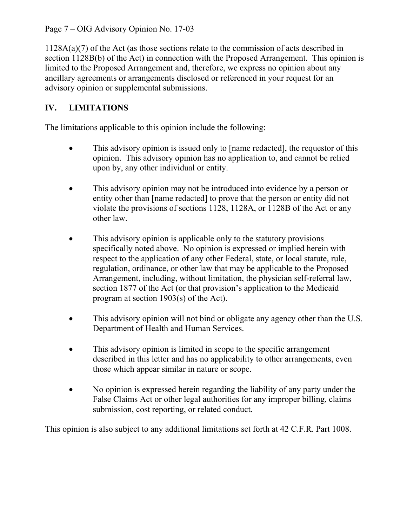Page 7 – OIG Advisory Opinion No. 17-03

1128A(a)(7) of the Act (as those sections relate to the commission of acts described in section 1128B(b) of the Act) in connection with the Proposed Arrangement. This opinion is limited to the Proposed Arrangement and, therefore, we express no opinion about any ancillary agreements or arrangements disclosed or referenced in your request for an advisory opinion or supplemental submissions.

# **IV. LIMITATIONS**

The limitations applicable to this opinion include the following:

- This advisory opinion is issued only to [name redacted], the requestor of this opinion. This advisory opinion has no application to, and cannot be relied upon by, any other individual or entity.
- This advisory opinion may not be introduced into evidence by a person or entity other than [name redacted] to prove that the person or entity did not violate the provisions of sections 1128, 1128A, or 1128B of the Act or any other law.
- This advisory opinion is applicable only to the statutory provisions specifically noted above. No opinion is expressed or implied herein with respect to the application of any other Federal, state, or local statute, rule, regulation, ordinance, or other law that may be applicable to the Proposed Arrangement, including, without limitation, the physician self-referral law, section 1877 of the Act (or that provision's application to the Medicaid program at section 1903(s) of the Act).
- This advisory opinion will not bind or obligate any agency other than the U.S. Department of Health and Human Services.
- This advisory opinion is limited in scope to the specific arrangement described in this letter and has no applicability to other arrangements, even those which appear similar in nature or scope.
- No opinion is expressed herein regarding the liability of any party under the False Claims Act or other legal authorities for any improper billing, claims submission, cost reporting, or related conduct.

This opinion is also subject to any additional limitations set forth at 42 C.F.R. Part 1008.